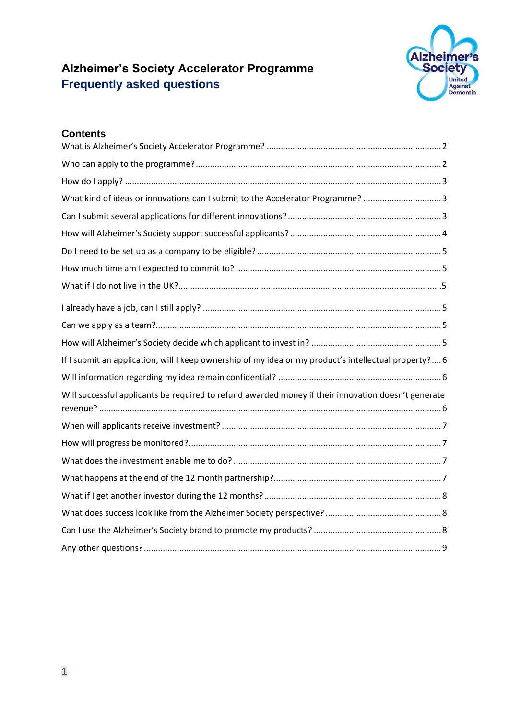# **Alzheimer's Society Accelerator Programme Frequently asked questions**



## **Contents**

| What kind of ideas or innovations can I submit to the Accelerator Programme? 3                        |
|-------------------------------------------------------------------------------------------------------|
|                                                                                                       |
|                                                                                                       |
|                                                                                                       |
|                                                                                                       |
|                                                                                                       |
|                                                                                                       |
|                                                                                                       |
|                                                                                                       |
| If I submit an application, will I keep ownership of my idea or my product's intellectual property? 6 |
|                                                                                                       |
| Will successful applicants be required to refund awarded money if their innovation doesn't generate   |
|                                                                                                       |
|                                                                                                       |
|                                                                                                       |
|                                                                                                       |
|                                                                                                       |
|                                                                                                       |
|                                                                                                       |
|                                                                                                       |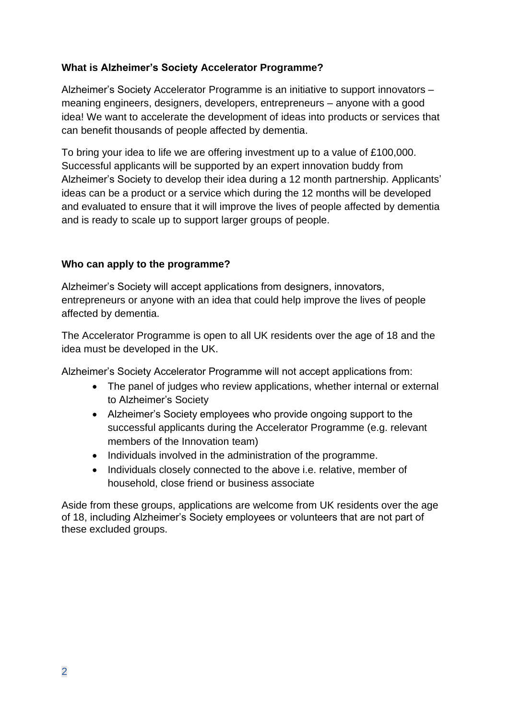# <span id="page-1-0"></span>**What is Alzheimer's Society Accelerator Programme?**

Alzheimer's Society Accelerator Programme is an initiative to support innovators – meaning engineers, designers, developers, entrepreneurs – anyone with a good idea! We want to accelerate the development of ideas into products or services that can benefit thousands of people affected by dementia.

To bring your idea to life we are offering investment up to a value of £100,000. Successful applicants will be supported by an expert innovation buddy from Alzheimer's Society to develop their idea during a 12 month partnership. Applicants' ideas can be a product or a service which during the 12 months will be developed and evaluated to ensure that it will improve the lives of people affected by dementia and is ready to scale up to support larger groups of people.

#### <span id="page-1-1"></span>**Who can apply to the programme?**

Alzheimer's Society will accept applications from designers, innovators, entrepreneurs or anyone with an idea that could help improve the lives of people affected by dementia.

The Accelerator Programme is open to all UK residents over the age of 18 and the idea must be developed in the UK.

Alzheimer's Society Accelerator Programme will not accept applications from:

- The panel of judges who review applications, whether internal or external to Alzheimer's Society
- Alzheimer's Society employees who provide ongoing support to the successful applicants during the Accelerator Programme (e.g. relevant members of the Innovation team)
- Individuals involved in the administration of the programme.
- Individuals closely connected to the above i.e. relative, member of household, close friend or business associate

Aside from these groups, applications are welcome from UK residents over the age of 18, including Alzheimer's Society employees or volunteers that are not part of these excluded groups.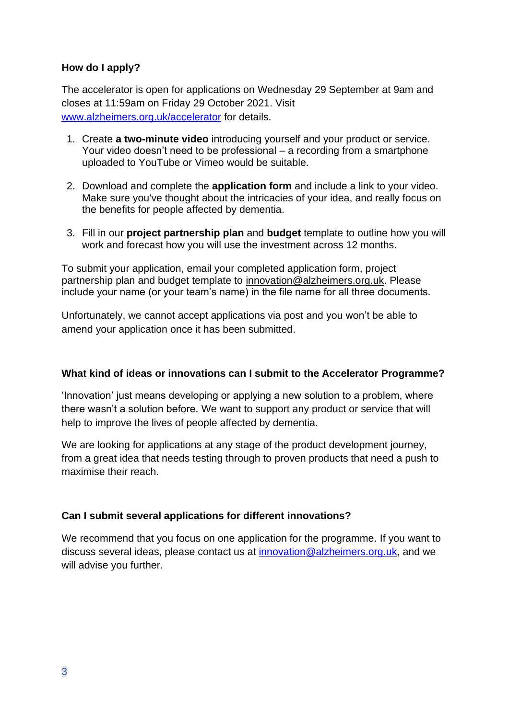## <span id="page-2-0"></span>**How do I apply?**

The accelerator is open for applications on Wednesday 29 September at 9am and closes at 11:59am on Friday 29 October 2021. Visit [www.alzheimers.org.uk/accelerator](http://www.alzheimers.org.uk/accelerator) for details.

- 1. Create **a two-minute video** introducing yourself and your product or service. Your video doesn't need to be professional – a recording from a smartphone uploaded to YouTube or Vimeo would be suitable.
- 2. Download and complete the **application form** and include a link to your video. Make sure you've thought about the intricacies of your idea, and really focus on the benefits for people affected by dementia.
- 3. Fill in our **project partnership plan** and **budget** template to outline how you will work and forecast how you will use the investment across 12 months.

To submit your application, email your completed application form, project partnership plan and budget template to [innovation@alzheimers.org.uk.](mailto:innovation@alzheimers.org.uk) Please include your name (or your team's name) in the file name for all three documents.

Unfortunately, we cannot accept applications via post and you won't be able to amend your application once it has been submitted.

#### <span id="page-2-1"></span>**What kind of ideas or innovations can I submit to the Accelerator Programme?**

'Innovation' just means developing or applying a new solution to a problem, where there wasn't a solution before. We want to support any product or service that will help to improve the lives of people affected by dementia.

We are looking for applications at any stage of the product development journey, from a great idea that needs testing through to proven products that need a push to maximise their reach.

#### <span id="page-2-2"></span>**Can I submit several applications for different innovations?**

We recommend that you focus on one application for the programme. If you want to discuss several ideas, please contact us at [innovation@alzheimers.org.uk,](mailto:innovation@alzheimers.org.uk) and we will advise you further.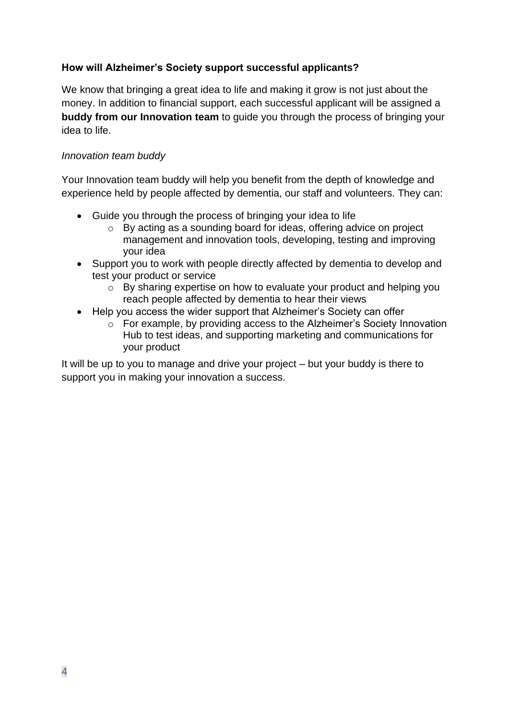# <span id="page-3-0"></span>**How will Alzheimer's Society support successful applicants?**

We know that bringing a great idea to life and making it grow is not just about the money. In addition to financial support, each successful applicant will be assigned a **buddy from our Innovation team** to guide you through the process of bringing your idea to life.

#### *Innovation team buddy*

Your Innovation team buddy will help you benefit from the depth of knowledge and experience held by people affected by dementia, our staff and volunteers. They can:

- Guide you through the process of bringing your idea to life
	- o By acting as a sounding board for ideas, offering advice on project management and innovation tools, developing, testing and improving your idea
- Support you to work with people directly affected by dementia to develop and test your product or service
	- o By sharing expertise on how to evaluate your product and helping you reach people affected by dementia to hear their views
- Help you access the wider support that Alzheimer's Society can offer
	- o For example, by providing access to the Alzheimer's Society Innovation Hub to test ideas, and supporting marketing and communications for your product

It will be up to you to manage and drive your project – but your buddy is there to support you in making your innovation a success.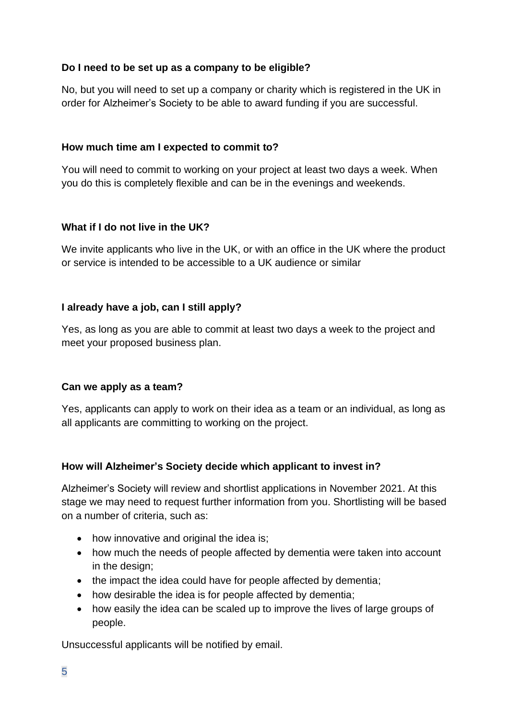# <span id="page-4-0"></span>**Do I need to be set up as a company to be eligible?**

No, but you will need to set up a company or charity which is registered in the UK in order for Alzheimer's Society to be able to award funding if you are successful.

## <span id="page-4-1"></span>**How much time am I expected to commit to?**

You will need to commit to working on your project at least two days a week. When you do this is completely flexible and can be in the evenings and weekends.

# **What if I do not live in the UK?**

We invite applicants who live in the UK, or with an office in the UK where the product or service is intended to be accessible to a UK audience or similar

# <span id="page-4-2"></span>**I already have a job, can I still apply?**

Yes, as long as you are able to commit at least two days a week to the project and meet your proposed business plan.

#### <span id="page-4-3"></span>**Can we apply as a team?**

Yes, applicants can apply to work on their idea as a team or an individual, as long as all applicants are committing to working on the project.

#### <span id="page-4-4"></span>**How will Alzheimer's Society decide which applicant to invest in?**

Alzheimer's Society will review and shortlist applications in November 2021. At this stage we may need to request further information from you. Shortlisting will be based on a number of criteria, such as:

- how innovative and original the idea is;
- how much the needs of people affected by dementia were taken into account in the design;
- the impact the idea could have for people affected by dementia;
- how desirable the idea is for people affected by dementia:
- how easily the idea can be scaled up to improve the lives of large groups of people.

Unsuccessful applicants will be notified by email.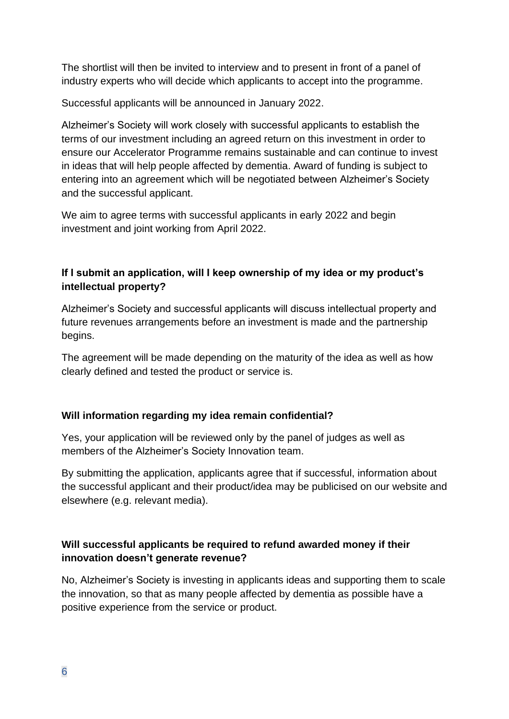The shortlist will then be invited to interview and to present in front of a panel of industry experts who will decide which applicants to accept into the programme.

Successful applicants will be announced in January 2022.

Alzheimer's Society will work closely with successful applicants to establish the terms of our investment including an agreed return on this investment in order to ensure our Accelerator Programme remains sustainable and can continue to invest in ideas that will help people affected by dementia. Award of funding is subject to entering into an agreement which will be negotiated between Alzheimer's Society and the successful applicant.

We aim to agree terms with successful applicants in early 2022 and begin investment and joint working from April 2022.

# <span id="page-5-0"></span>**If I submit an application, will I keep ownership of my idea or my product's intellectual property?**

Alzheimer's Society and successful applicants will discuss intellectual property and future revenues arrangements before an investment is made and the partnership begins.

The agreement will be made depending on the maturity of the idea as well as how clearly defined and tested the product or service is.

# <span id="page-5-1"></span>**Will information regarding my idea remain confidential?**

Yes, your application will be reviewed only by the panel of judges as well as members of the Alzheimer's Society Innovation team.

By submitting the application, applicants agree that if successful, information about the successful applicant and their product/idea may be publicised on our website and elsewhere (e.g. relevant media).

# <span id="page-5-2"></span>**Will successful applicants be required to refund awarded money if their innovation doesn't generate revenue?**

No, Alzheimer's Society is investing in applicants ideas and supporting them to scale the innovation, so that as many people affected by dementia as possible have a positive experience from the service or product.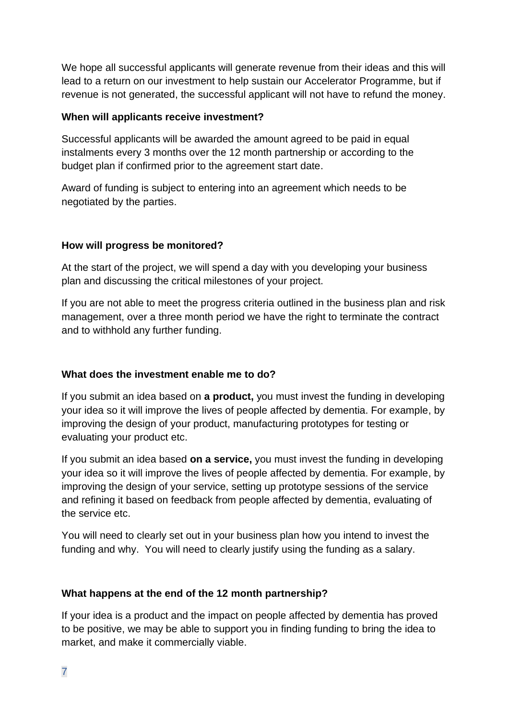We hope all successful applicants will generate revenue from their ideas and this will lead to a return on our investment to help sustain our Accelerator Programme, but if revenue is not generated, the successful applicant will not have to refund the money.

#### <span id="page-6-0"></span>**When will applicants receive investment?**

Successful applicants will be awarded the amount agreed to be paid in equal instalments every 3 months over the 12 month partnership or according to the budget plan if confirmed prior to the agreement start date.

Award of funding is subject to entering into an agreement which needs to be negotiated by the parties.

#### <span id="page-6-1"></span>**How will progress be monitored?**

At the start of the project, we will spend a day with you developing your business plan and discussing the critical milestones of your project.

If you are not able to meet the progress criteria outlined in the business plan and risk management, over a three month period we have the right to terminate the contract and to withhold any further funding.

#### <span id="page-6-2"></span>**What does the investment enable me to do?**

If you submit an idea based on **a product,** you must invest the funding in developing your idea so it will improve the lives of people affected by dementia. For example, by improving the design of your product, manufacturing prototypes for testing or evaluating your product etc.

If you submit an idea based **on a service,** you must invest the funding in developing your idea so it will improve the lives of people affected by dementia. For example, by improving the design of your service, setting up prototype sessions of the service and refining it based on feedback from people affected by dementia, evaluating of the service etc.

You will need to clearly set out in your business plan how you intend to invest the funding and why. You will need to clearly justify using the funding as a salary.

#### <span id="page-6-3"></span>**What happens at the end of the 12 month partnership?**

If your idea is a product and the impact on people affected by dementia has proved to be positive, we may be able to support you in finding funding to bring the idea to market, and make it commercially viable.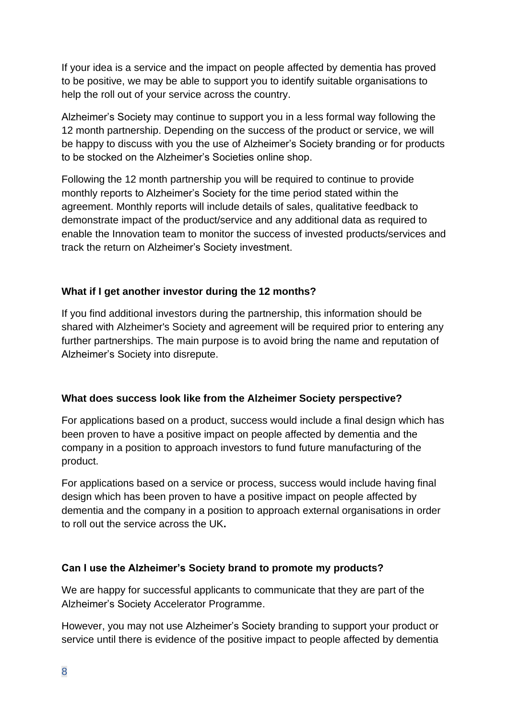If your idea is a service and the impact on people affected by dementia has proved to be positive, we may be able to support you to identify suitable organisations to help the roll out of your service across the country.

Alzheimer's Society may continue to support you in a less formal way following the 12 month partnership. Depending on the success of the product or service, we will be happy to discuss with you the use of Alzheimer's Society branding or for products to be stocked on the Alzheimer's Societies online shop.

Following the 12 month partnership you will be required to continue to provide monthly reports to Alzheimer's Society for the time period stated within the agreement. Monthly reports will include details of sales, qualitative feedback to demonstrate impact of the product/service and any additional data as required to enable the Innovation team to monitor the success of invested products/services and track the return on Alzheimer's Society investment.

# <span id="page-7-0"></span>**What if I get another investor during the 12 months?**

If you find additional investors during the partnership, this information should be shared with Alzheimer's Society and agreement will be required prior to entering any further partnerships. The main purpose is to avoid bring the name and reputation of Alzheimer's Society into disrepute.

#### <span id="page-7-1"></span>**What does success look like from the Alzheimer Society perspective?**

For applications based on a product, success would include a final design which has been proven to have a positive impact on people affected by dementia and the company in a position to approach investors to fund future manufacturing of the product.

For applications based on a service or process, success would include having final design which has been proven to have a positive impact on people affected by dementia and the company in a position to approach external organisations in order to roll out the service across the UK**.**

#### <span id="page-7-2"></span>**Can I use the Alzheimer's Society brand to promote my products?**

We are happy for successful applicants to communicate that they are part of the Alzheimer's Society Accelerator Programme.

However, you may not use Alzheimer's Society branding to support your product or service until there is evidence of the positive impact to people affected by dementia